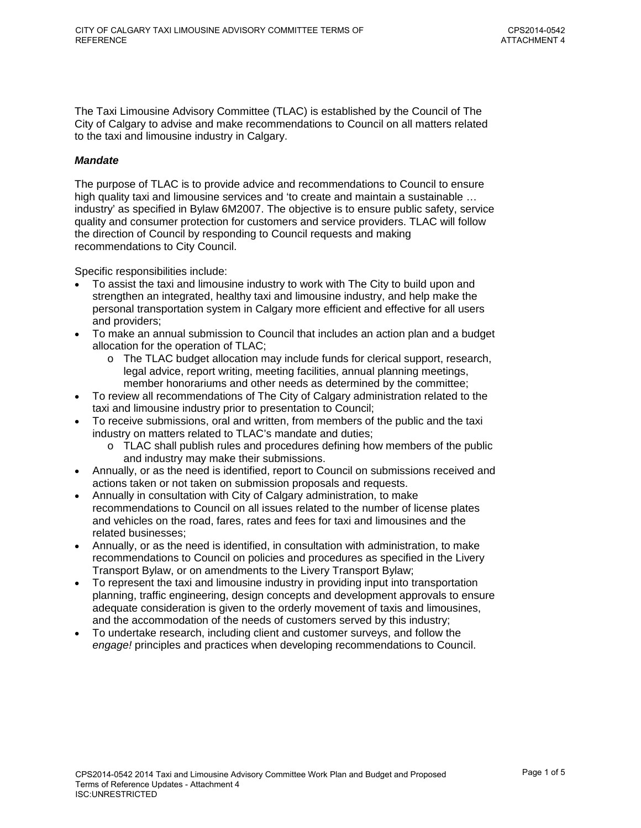The Taxi Limousine Advisory Committee (TLAC) is established by the Council of The City of Calgary to advise and make recommendations to Council on all matters related to the taxi and limousine industry in Calgary.

#### *Mandate*

The purpose of TLAC is to provide advice and recommendations to Council to ensure high quality taxi and limousine services and 'to create and maintain a sustainable … industry' as specified in Bylaw 6M2007. The objective is to ensure public safety, service quality and consumer protection for customers and service providers. TLAC will follow the direction of Council by responding to Council requests and making recommendations to City Council.

Specific responsibilities include:

- To assist the taxi and limousine industry to work with The City to build upon and strengthen an integrated, healthy taxi and limousine industry, and help make the personal transportation system in Calgary more efficient and effective for all users and providers;
- To make an annual submission to Council that includes an action plan and a budget allocation for the operation of TLAC;
	- $\circ$  The TLAC budget allocation may include funds for clerical support, research, legal advice, report writing, meeting facilities, annual planning meetings, member honorariums and other needs as determined by the committee;
- To review all recommendations of The City of Calgary administration related to the taxi and limousine industry prior to presentation to Council;
- To receive submissions, oral and written, from members of the public and the taxi industry on matters related to TLAC's mandate and duties;
	- $\circ$  TLAC shall publish rules and procedures defining how members of the public and industry may make their submissions.
- Annually, or as the need is identified, report to Council on submissions received and actions taken or not taken on submission proposals and requests.
- Annually in consultation with City of Calgary administration, to make recommendations to Council on all issues related to the number of license plates and vehicles on the road, fares, rates and fees for taxi and limousines and the related businesses;
- Annually, or as the need is identified, in consultation with administration, to make recommendations to Council on policies and procedures as specified in the Livery Transport Bylaw, or on amendments to the Livery Transport Bylaw;
- To represent the taxi and limousine industry in providing input into transportation planning, traffic engineering, design concepts and development approvals to ensure adequate consideration is given to the orderly movement of taxis and limousines, and the accommodation of the needs of customers served by this industry;
- To undertake research, including client and customer surveys, and follow the *engage!* principles and practices when developing recommendations to Council.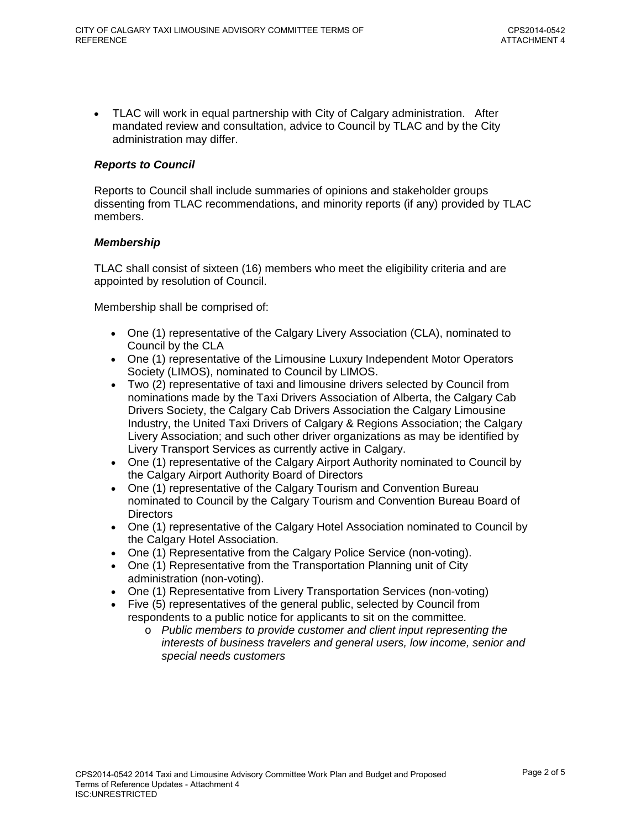• TLAC will work in equal partnership with City of Calgary administration. After mandated review and consultation, advice to Council by TLAC and by the City administration may differ.

#### *Reports to Council*

Reports to Council shall include summaries of opinions and stakeholder groups dissenting from TLAC recommendations, and minority reports (if any) provided by TLAC members.

#### *Membership*

TLAC shall consist of sixteen (16) members who meet the eligibility criteria and are appointed by resolution of Council.

Membership shall be comprised of:

- One (1) representative of the Calgary Livery Association (CLA), nominated to Council by the CLA
- One (1) representative of the Limousine Luxury Independent Motor Operators Society (LIMOS), nominated to Council by LIMOS.
- Two (2) representative of taxi and limousine drivers selected by Council from nominations made by the Taxi Drivers Association of Alberta, the Calgary Cab Drivers Society, the Calgary Cab Drivers Association the Calgary Limousine Industry, the United Taxi Drivers of Calgary & Regions Association; the Calgary Livery Association; and such other driver organizations as may be identified by Livery Transport Services as currently active in Calgary.
- One (1) representative of the Calgary Airport Authority nominated to Council by the Calgary Airport Authority Board of Directors
- One (1) representative of the Calgary Tourism and Convention Bureau nominated to Council by the Calgary Tourism and Convention Bureau Board of **Directors**
- One (1) representative of the Calgary Hotel Association nominated to Council by the Calgary Hotel Association.
- One (1) Representative from the Calgary Police Service (non-voting).
- One (1) Representative from the Transportation Planning unit of City administration (non-voting).
- One (1) Representative from Livery Transportation Services (non-voting)
- Five (5) representatives of the general public, selected by Council from respondents to a public notice for applicants to sit on the committee*.*
	- o *Public members to provide customer and client input representing the interests of business travelers and general users, low income, senior and special needs customers*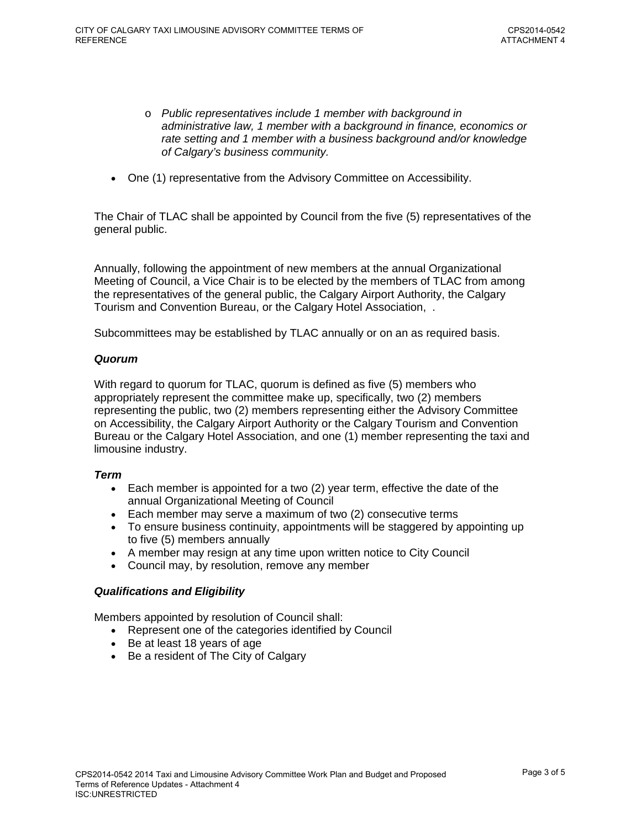- o *Public representatives include 1 member with background in administrative law, 1 member with a background in finance, economics or rate setting and 1 member with a business background and/or knowledge of Calgary's business community.*
- One (1) representative from the Advisory Committee on Accessibility.

The Chair of TLAC shall be appointed by Council from the five (5) representatives of the general public.

Annually, following the appointment of new members at the annual Organizational Meeting of Council, a Vice Chair is to be elected by the members of TLAC from among the representatives of the general public, the Calgary Airport Authority, the Calgary Tourism and Convention Bureau, or the Calgary Hotel Association, .

Subcommittees may be established by TLAC annually or on an as required basis.

# *Quorum*

With regard to quorum for TLAC, quorum is defined as five (5) members who appropriately represent the committee make up, specifically, two (2) members representing the public, two (2) members representing either the Advisory Committee on Accessibility, the Calgary Airport Authority or the Calgary Tourism and Convention Bureau or the Calgary Hotel Association, and one (1) member representing the taxi and limousine industry.

# *Term*

- Each member is appointed for a two (2) year term, effective the date of the annual Organizational Meeting of Council
- Each member may serve a maximum of two (2) consecutive terms
- To ensure business continuity, appointments will be staggered by appointing up to five (5) members annually
- A member may resign at any time upon written notice to City Council
- Council may, by resolution, remove any member

# *Qualifications and Eligibility*

Members appointed by resolution of Council shall:

- Represent one of the categories identified by Council
- Be at least 18 years of age
- Be a resident of The City of Calgary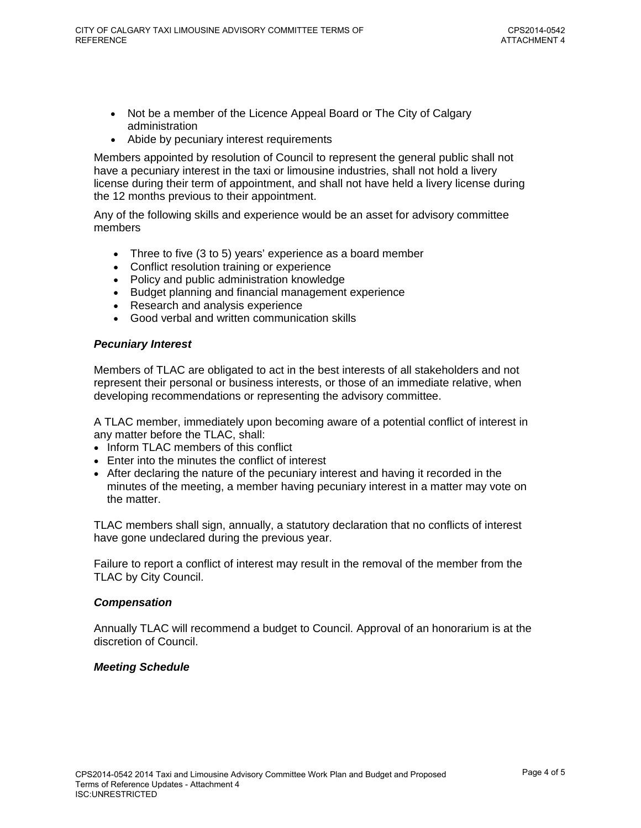- Not be a member of the Licence Appeal Board or The City of Calgary administration
- Abide by pecuniary interest requirements

Members appointed by resolution of Council to represent the general public shall not have a pecuniary interest in the taxi or limousine industries, shall not hold a livery license during their term of appointment, and shall not have held a livery license during the 12 months previous to their appointment.

Any of the following skills and experience would be an asset for advisory committee members

- Three to five (3 to 5) years' experience as a board member
- Conflict resolution training or experience
- Policy and public administration knowledge
- Budget planning and financial management experience
- Research and analysis experience
- Good verbal and written communication skills

# *Pecuniary Interest*

Members of TLAC are obligated to act in the best interests of all stakeholders and not represent their personal or business interests, or those of an immediate relative, when developing recommendations or representing the advisory committee.

A TLAC member, immediately upon becoming aware of a potential conflict of interest in any matter before the TLAC, shall:

- Inform TLAC members of this conflict
- Enter into the minutes the conflict of interest
- After declaring the nature of the pecuniary interest and having it recorded in the minutes of the meeting, a member having pecuniary interest in a matter may vote on the matter.

TLAC members shall sign, annually, a statutory declaration that no conflicts of interest have gone undeclared during the previous year.

Failure to report a conflict of interest may result in the removal of the member from the TLAC by City Council.

# *Compensation*

Annually TLAC will recommend a budget to Council. Approval of an honorarium is at the discretion of Council.

# *Meeting Schedule*